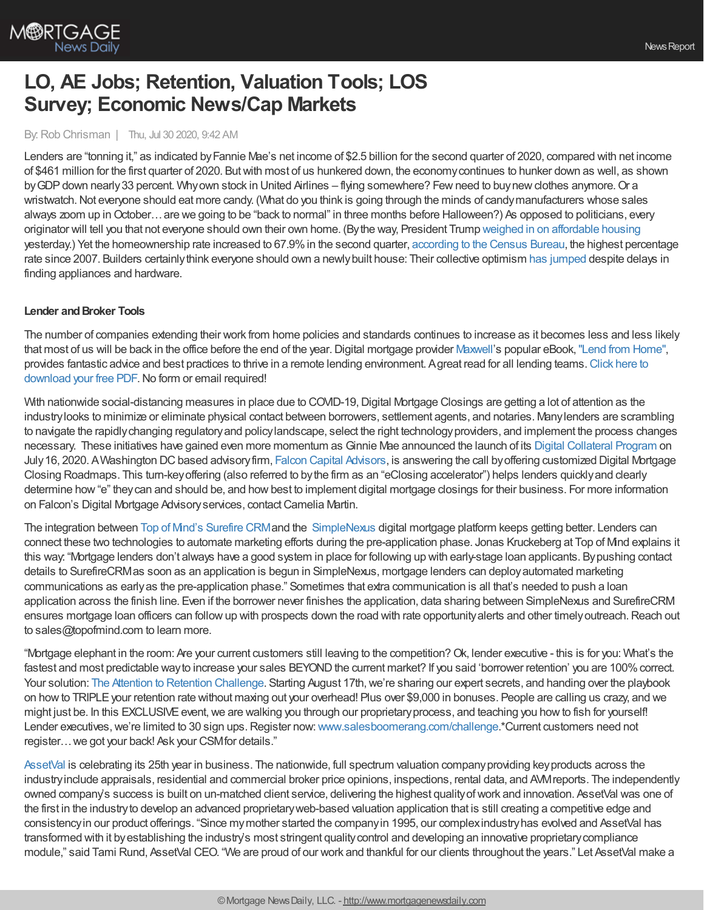

# **LO, AE Jobs; Retention, Valuation Tools; LOS Survey; Economic News/Cap Markets**

## By:Rob Chrisman | Thu, Jul 30 2020, 9:42 AM

Lenders are "tonning it," as indicated byFannie Mae's net income of \$2.5 billion for the second quarter of 2020, compared with net income of \$461 million for the first quarter of 2020. Butwith most of us hunkered down, the economycontinues to hunker down as well, as shown by GDP down nearly 33 percent. Why own stock in United Airlines – flying somewhere? Few need to buynew clothes anymore. Or a wristwatch. Not everyone should eat more candy. (What do you think is going through the minds of candy manufacturers whose sales always zoom up inOctober…are we going to be "back to normal" in three months before Halloween?) As opposed to politicians, every originator will tell you that not everyone should own their own home. (Bythe way, President Trump weighed in on [affordable](https://www.foxnews.com/politics/trump-suburban-voters-housing-rule) housing yesterday.) Yet the homeownership rate increased to 67.9%in the second quarter, [according](https://www.census.gov/housing/hvs/files/currenthvspress.pdf) to the Census Bureau, the highest percentage rate since 2007. Builders certainlythink everyone should own a newlybuilt house: Their collective optimism has [jumped](https://www.builderonline.com/money/economics/nahb-wells-fargo-hmi-rises-to-pre-pandemic-levels_o) despite delays in finding appliances and hardware.

#### **Lender** and **Broker Tools**

The number of companies extending their work from home policies and standards continues to increase as it becomes less and less likely that most of us will be back in the office before the end of the year. Digital mortgage provider [Maxwell](https://www.himaxwell.com/?utm_source=RC&utm_medium=RC_Content)'s popular eBook, "Lend from [Home"](https://demo.himaxwell.com/Lend-From-Home-Maxwell), provides fantastic advice and best practices to thrive in a remote lending [environment.](https://demo.himaxwell.com/Lend-From-Home-Maxwell) Agreat read for all lending teams. Click here to download your free PDF. No form or email required!

With nationwide social-distancing measures in place due to COVID-19, Digital Mortgage Closings are getting a lot of attention as the industrylooks to minimize or eliminate physical contact between borrowers, settlement agents, and notaries. Manylenders are scrambling to navigate the rapidlychanging regulatoryand policylandscape, select the right technologyproviders, and implement the process changes necessary. These initiatives have gained even more momentum as Ginnie Mae announced the launch of its Digital [Collateral](https://www.ginniemae.gov/issuers/program_guidelines/Pages/mbsguideapmslibdisppage.aspx?ParamID=112) Program on July 16, 2020. A Washington DC based advisory firm, Falcon Capital [Advisors](http://www.falconcapitaladvisors.com/), is answering the call by offering customized Digital Mortgage Closing Roadmaps. This turn-keyoffering (also referred to bythe firm as an "eClosing accelerator") helps lenders quicklyand clearly determine how "e" they can and should be, and how best to implement digital mortgage closings for their business. For more information on Falcon's Digital Mortgage Advisory services, contact Camelia Martin.

The integration between Top of Mind's [Surefire](https://www.topofmind.com/) CRMand the [SimpleNexus](https://simplenexus.com/sn/) digital mortgage platform keeps getting better. Lenders can connect these two technologies to automate marketing efforts during the pre-application phase. Jonas Kruckeberg at Top of Mind explains it this way: "Mortgage lenders don't always have a good system in place for following up with early-stage loan applicants. Bypushing contact details to SurefireCRMas soon as an application is begun in SimpleNexus, mortgage lenders can deployautomated marketing communications as earlyas the pre-application phase." Sometimes that extra communication is all that's needed to push a loan application across the finish line. Even if the borrower never finishes the application, data sharing between SimpleNexus and SurefireCRM ensures mortgage loan officers can followup with prospects down the road with rate opportunityalerts and other timelyoutreach.Reach out to sales@topofmind.com to learn more.

"Mortgage elephant in the room: Are your current customers still leaving to the competition?Ok, lender executive - this is for you: What's the fastest and most predictable way to increase your sales BEYOND the current market? If you said 'borrower retention' you are 100% correct. Your solution: The Attention to Retention [Challenge.](http://www.salesboomerang.com/challenge) Starting August 17th, we're sharing our expert secrets, and handing over the playbook on howto TRIPLEyour retention rate without maxing out your overhead! Plus over \$9,000 in bonuses. People are calling us crazy, and we might just be. In this EXCLUSIVE event, we are walking you through our proprietary process, and teaching you how to fish for yourself! Lender executives, we're limited to 30 sign ups. Register now: [www.salesboomerang.com/challenge.](http://www.salesboomerang.com/challenge)\*Current customers need not register…we got your back! Ask your CSMfor details."

[AssetVal](https://www.assetval.com/home.html) is celebrating its 25th year in business. The nationwide, full spectrum valuation companyproviding keyproducts across the industry include appraisals, residential and commercial broker price opinions, inspections, rental data, and AVM reports. The independently owned company's success is built on un-matched client service, delivering the highest qualityofwork and innovation. AssetVal was one of the first in the industryto develop an advanced proprietaryweb-based valuation application that is still creating a competitive edge and consistencyin our product offerings. "Since mymother started the companyin 1995, our complexindustryhas evolved and AssetVal has transformed with it byestablishing the industry's most stringent qualitycontrol and developing an innovative proprietarycompliance module," said Tami Rund, AssetVal CEO. "We are proud of our work and thankful for our clients throughout the years." Let AssetVal make a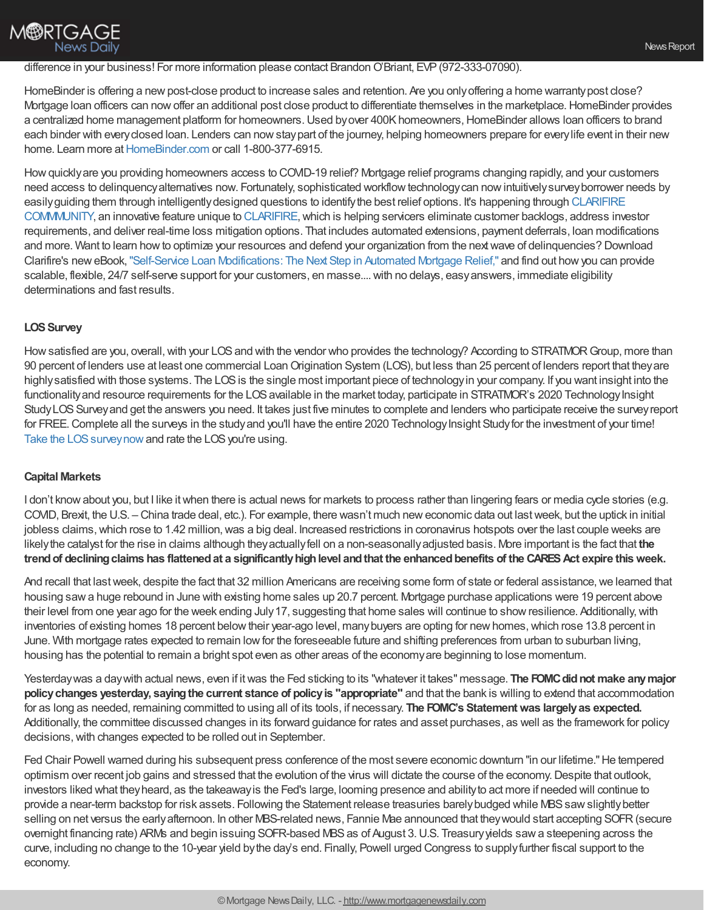# difference in your business! For more information please contact Brandon O'Briant, EVP (972-333-07090).

HomeBinder is offering a new post-close product to increase sales and retention. Are you only offering a home warranty post close? Mortgage loan officers can nowoffer an additional post close product to differentiate themselves in the marketplace.HomeBinder provides a centralized home management platform for homeowners. Used by over 400K homeowners, HomeBinder allows loan officers to brand each binder with every closed loan. Lenders can now stay part of the journey, helping homeowners prepare for every life event in their new home. Learn more at [HomeBinder.com](https://hubs.ly/H0t4tHx0) or call 1-800-377-6915.

How quickly are you providing homeowners access to COVID-19 relief? Mortgage relief programs changing rapidly, and your customers need access to delinquency alternatives now. Fortunately, sophisticated workflow technology can now intuitively survey borrower needs by easilyguiding them through [intelligentlydesigned](https://www.eclarifire.com/clarifire-community.aspx) questions to identifythe best relief options. It's happening through CLARIFIRE COMMMUNITY, an innovative feature unique to [CLARIFIRE,](https://www.eclarifire.com/index.aspx)which is helping servicers eliminate customer backlogs, address investor requirements, and deliver real-time loss mitigation options. That includes automated extensions, payment deferrals, loan modifications and more. Want to learn howto optimize your resources and defend your organization from the nextwave of delinquencies? Download Clarifire's neweBook,"Self-Service Loan [Modifications:](https://info.eclarifire.com/self-service-loan-modifications-ebook) The Next Step in Automated Mortgage Relief," and find out howyou can provide scalable, flexible, 24/7 self-serve support for your customers, en masse.... with no delays, easy answers, immediate eligibility determinations and fast results.

## **LOS Survey**

How satisfied are you, overall, with your LOS and with the vendor who provides the technology? According to STRATMOR Group, more than 90 percent of lenders use at least one commercial Loan Origination System (LOS), but less than 25 percent of lenders report that they are highly satisfied with those systems. The LOS is the single most important piece of technology in your company. If you want insight into the functionality and resource requirements for the LOS available in the market today, participate in STRATMOR's 2020 Technology Insight StudyLOSSurveyand get the answers you need. It takes just five minutes to complete and lenders who participate receive the surveyreport for FREE. Complete all the surveys in the study and you'll have the entire 2020 Technology Insight Study for the investment of your time! Take the LOS survey now and rate the LOS you're using.

## **Capital Markets**

I don't know about you, but I like it when there is actual news for markets to process rather than lingering fears or media cycle stories (e.g. COVID, Brexit, the U.S. – China trade deal, etc.). For example, there wasn't much neweconomic data out lastweek, but the uptick in initial jobless claims, which rose to 1.42 million, was a big deal. Increased restrictions in coronavirus hotspots over the last couple weeks are likelythe catalyst for the rise in claims although theyactuallyfell on a non-seasonallyadjusted basis. More important is the fact that **the trendof decliningclaims has flattenedat a significantlyhighlevel andthat the enhancedbenefits of the CARESAct expire thisweek.**

And recall that last week, despite the fact that 32 million Americans are receiving some form of state or federal assistance, we learned that housing sawa huge rebound in June with existing home sales up 20.7 percent. Mortgage purchase applications were 19 percent above their level from one year ago for the week ending July 17, suggesting that home sales will continue to show resilience. Additionally, with inventories of existing homes 18 percent below their year-ago level, many buyers are opting for new homes, which rose 13.8 percent in June. With mortgage rates expected to remain low for the foreseeable future and shifting preferences from urban to suburban living, housing has the potential to remain a bright spot even as other areas of the economyare beginning to lose momentum.

Yesterdaywas a daywith actual news, even if itwas the Fed sticking to its "whatever it takes" message. **The FOMCdidnot make anymajor policychanges yesterday, sayingthe current stance of policyis "appropriate"** and that the bank is willing to extend that accommodation for as long as needed, remaining committed to using all of its tools, if necessary. **The FOMC's Statementwas largelyas expected.** Additionally, the committee discussed changes in its forward guidance for rates and asset purchases, as well as the framework for policy decisions,with changes expected to be rolled out in September.

Fed Chair Powell warned during his subsequent press conference of the most severe economic downturn "in our lifetime." He tempered optimism over recent job gains and stressed that the evolution of the virus will dictate the course of the economy.Despite that outlook, investors liked what theyheard, as the takeawayis the Fed's large, looming presence and abilityto act more if needed will continue to provide a near-term backstop for risk assets. Following the Statement release treasuries barely budged while MBS saw slightly better selling on net versus the early afternoon. In other MBS-related news, Fannie Mae announced that they would start accepting SOFR (secure overnight financing rate) ARMs and begin issuing SOFR-based MBS as of August 3. U.S. Treasury yields saw a steepening across the curve, including no change to the 10-year yield bythe day's end. Finally, Powell urged Congress to supplyfurther fiscal support to the economy.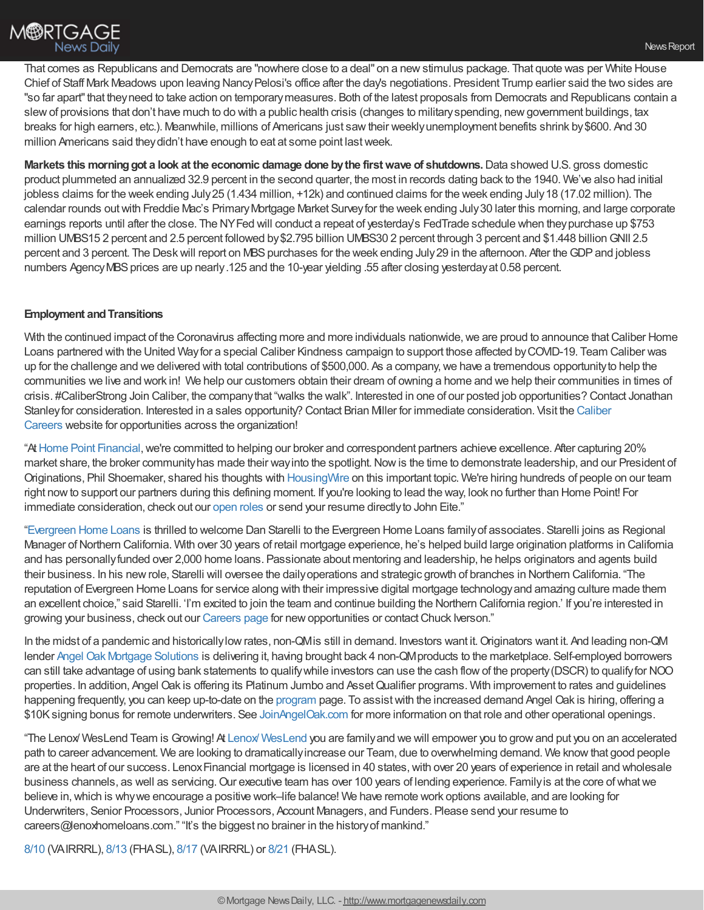That comes as Republicans and Democrats are "nowhere close to a deal" on a newstimulus package. That quote was per White House Chief of Staff Mark Meadows upon leaving NancyPelosi's office after the day's negotiations. President Trump earlier said the two sides are "so far apart" that they need to take action on temporary measures. Both of the latest proposals from Democrats and Republicans contain a slew of provisions that don't have much to do with a public health crisis (changes to military spending, new government buildings, tax breaks for high earners, etc.). Meanwhile, millions of Americans just sawtheir weeklyunemployment benefits shrink by\$600. And 30 million Americans said they didn't have enough to eat at some point last week.

**Markets this morninggot a look at the economic damage done bythe firstwave of shutdowns.**Data showed U.S. gross domestic product plummeted an annualized 32.9 percent in the second quarter, the most in records dating back to the 1940. We've also had initial jobless claims for the week ending July25 (1.434 million, +12k) and continued claims for the week ending July18 (17.02 million). The calendar rounds outwith Freddie Mac's PrimaryMortgage Market Surveyfor the week ending July30 later this morning, and large corporate earnings reports until after the close. The NYFed will conduct a repeat of yesterday's FedTrade schedule when theypurchase up \$753 million UMBS15 2 percent and 2.5 percent followed by\$2.795 billion UMBS30 2 percent through 3 percent and \$1.448 billionGNII 2.5 percent and 3 percent. The Desk will report on MBS purchases for the week ending July 29 in the afternoon. After the GDP and jobless numbers Agency MBS prices are up nearly.125 and the 10-year yielding .55 after closing yesterday at 0.58 percent.

# **Employment and Transitions**

With the continued impact of the Coronavirus affecting more and more individuals nationwide, we are proud to announce that Caliber Home Loans partnered with the United Wayfor a special Caliber Kindness campaign to support those affected byCOVID-19. Team Caliber was up for the challenge and we delivered with total contributions of \$500,000. As a company, we have a tremendous opportunity to help the communities we live and work in! We help our customers obtain their dream of owning a home and we help their communities in times of crisis. #CaliberStrong Join Caliber, the companythat "walks the walk". Interested in one of our posted job opportunities? Contact Jonathan Stanley for [consideration.](https://recruiting.adp.com/srccar/public/RTI.home?d=ExternalCaliberHomeLoans&_icx=v02Pg0E8dry77as%252F53w4AJaa70NZw%252Fw8fF8hbFO1EF85wLt9DxjYJuzTaiz3cC3bUG0&c=1060341&_dissimuloSSO=k81IQ_xGY14:XQC7YMN_-Mx6DdXOyW3KVTQohAw) Interested in a sales opportunity? Contact Brian Miller for immediate consideration. Visit the Caliber Careers website for opportunities across the organization!

"AtHome Point [Financial](https://www.homepointfinancial.com/),we're committed to helping our broker and correspondent partners achieve excellence. After capturing 20% market share, the broker community has made their way into the spotlight. Now is the time to demonstrate leadership, and our President of Originations, Phil Shoemaker, shared his thoughts with [HousingWire](https://www.housingwire.com/articles/pulse-mortgage-brokers-should-take-this-opportunity-to-rally-and-show-leadership/) on this important topic. We're hiring hundreds of people on our team right nowto support our partners during this defining moment. If you're looking to lead the way, look no further than Home Point! For immediate consideration, check out our [open](https://usr58.dayforcehcm.com/CandidatePortal/en-US/homepoint) roles or send your resume directlyto John Eite."

["Evergreen](https://www.evergreenhomeloans.com/) Home Loans is thrilled to welcome Dan Starelli to the Evergreen Home Loans familyof associates. Starelli joins as Regional Manager of Northern California. With over 30 years of retail mortgage experience, he's helped build large origination platforms in California and has personallyfunded over 2,000 home loans. Passionate about mentoring and leadership, he helps originators and agents build their business. In his newrole, Starelli will oversee the dailyoperations and strategic growth of branches in Northern California. "The reputation of Evergreen Home Loans for service along with their impressive digital mortgage technologyand amazing culture made them an excellent choice," said Starelli. 'I'm excited to join the team and continue building the Northern California region.' If you're interested in growing your business, check out our [Careers](https://www.evergreenhomeloans.com/why-evergreen/mortgage-jobs) page for newopportunities or contactChuck Iverson."

In the midst of a pandemic and historically low rates, non-QM is still in demand. Investors want it. Originators want it. And leading non-QM lender Angel Oak Mortgage [Solutions](http://angeloakms.com/) is delivering it, having brought back 4 non-QMproducts to the marketplace. Self-employed borrowers can still take advantage of using bank statements to qualifywhile investors can use the cash flowof the property(DSCR) to qualifyfor NOO properties. In addition, Angel Oak is offering its Platinum Jumbo and AssetQualifier programs. With improvement to rates and guidelines happening frequently, you can keep up-to-date on the [program](https://angeloakms.com/programs/) page. To assistwith the increased demand Angel Oak is hiring, offering a \$10Ksigning bonus for remote underwriters. See [JoinAngelOak.com](https://recruiting.ultipro.com/ANG1001/JobBoard/b4780aa2-b465-c039-b3af-bec7dad8eb3b/?q=angel+oak+mortgage+solutions&o=relevance&f5=rNaYyp1UFUiaKQFCcPn48w) for more information on that role and other operational openings.

"The Lenox/ WesLend Team is Growing! At Lenox/ [WesLend](https://www.linkedin.com/company/lenox-financial) you are familyand we will empower you to growand put you on an accelerated path to career advancement. We are looking to dramaticallyincrease our Team, due to overwhelming demand. We knowthat good people are at the heart of our success. Lenox Financial mortgage is licensed in 40 states, with over 20 years of experience in retail and wholesale business channels, as well as servicing. Our executive team has over 100 years of lending experience. Family is at the core of what we believe in, which is why we encourage a positive work–life balance! We have remote work options available, and are looking for Underwriters, Senior Processors, Junior Processors, Account Managers, and Funders. Please send your resume to careers@lenoxhomeloans.com." "It's the biggest no brainer in the historyof mankind."

[8/10](https://freedom.zoom.us/meeting/register/tJwvcO6vrjMjHtXOUQZTscWBDGemX50WhoNl) (VAIRRRL), [8/13](https://freedom.zoom.us/meeting/register/tJAqc-qqpjMtGdyoM76UrH4IHAESX_zMaCR0) (FHASL), [8/17](https://freedom.zoom.us/meeting/register/tJ0qfu-grTosGdNsAiYKySeZQxiAwc6s-XcO) (VAIRRRL) or [8/21](https://freedom.zoom.us/meeting/register/tJEtc-ioqD0iH9GTorET00yemomFTJf-jMiS) (FHASL).